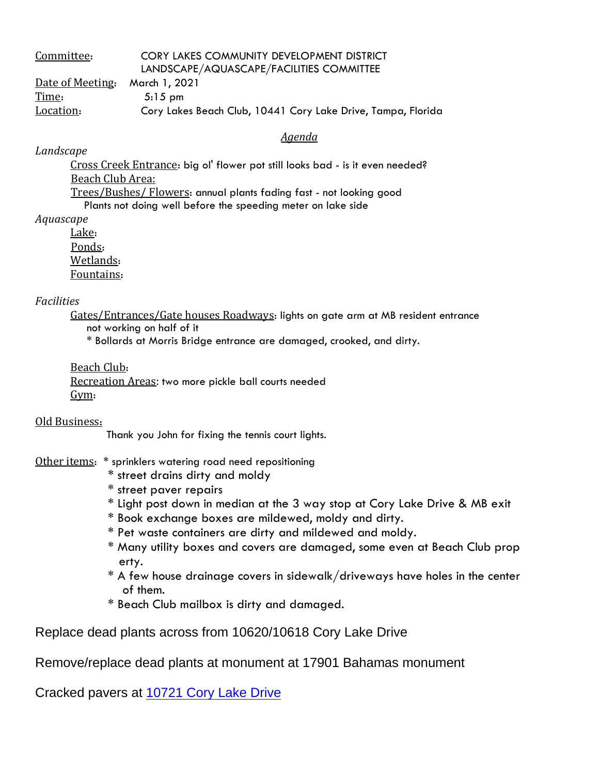| Committee:       | CORY LAKES COMMUNITY DEVELOPMENT DISTRICT                    |
|------------------|--------------------------------------------------------------|
|                  | LANDSCAPE/AQUASCAPE/FACILITIES COMMITTEE                     |
| Date of Meeting. | March 1, 2021                                                |
| Time:            | $5:15 \text{ pm}$                                            |
| Location:        | Cory Lakes Beach Club, 10441 Cory Lake Drive, Tampa, Florida |

## *Agenda*

*Landscape*

Cross Creek Entrance: big ol' flower pot still looks bad - is it even needed? Beach Club Area: Trees/Bushes/ Flowers: annual plants fading fast - not looking good

Plants not doing well before the speeding meter on lake side

*Aquascape*

Lake: Ponds: Wetlands: Fountains:

## *Facilities*

Gates/Entrances/Gate houses Roadways: lights on gate arm at MB resident entrance not working on half of it

\* Bollards at Morris Bridge entrance are damaged, crooked, and dirty.

Beach Club:

Recreation Areas: two more pickle ball courts needed Gym:

## Old Business:

Thank you John for fixing the tennis court lights.

## Other items: \* sprinklers watering road need repositioning

- \* street drains dirty and moldy
- \* street paver repairs
- \* Light post down in median at the 3 way stop at Cory Lake Drive & MB exit
- \* Book exchange boxes are mildewed, moldy and dirty.
- \* Pet waste containers are dirty and mildewed and moldy.
- \* Many utility boxes and covers are damaged, some even at Beach Club prop erty.
- \* A few house drainage covers in sidewalk/driveways have holes in the center of them.
- \* Beach Club mailbox is dirty and damaged.

Replace dead plants across from 10620/10618 Cory Lake Drive

Remove/replace dead plants at monument at 17901 Bahamas monument

Cracked pavers at [10721](x-apple-data-detectors://0/) Cory Lake Drive